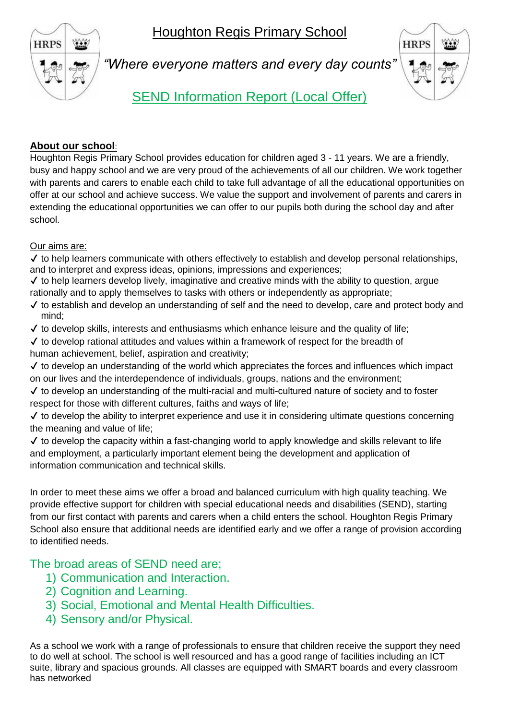Houghton Regis Primary School



*"Where everyone matters and every day counts"*



SEND Information Report (Local Offer)

## **About our school**:

Houghton Regis Primary School provides education for children aged 3 - 11 years. We are a friendly, busy and happy school and we are very proud of the achievements of all our children. We work together with parents and carers to enable each child to take full advantage of all the educational opportunities on offer at our school and achieve success. We value the support and involvement of parents and carers in extending the educational opportunities we can offer to our pupils both during the school day and after school.

Our aims are:

 $\checkmark$  to help learners communicate with others effectively to establish and develop personal relationships, and to interpret and express ideas, opinions, impressions and experiences;

✔ to help learners develop lively, imaginative and creative minds with the ability to question, argue rationally and to apply themselves to tasks with others or independently as appropriate;

✔ to establish and develop an understanding of self and the need to develop, care and protect body and mind;

 $\checkmark$  to develop skills, interests and enthusiasms which enhance leisure and the quality of life;

 $\checkmark$  to develop rational attitudes and values within a framework of respect for the breadth of human achievement, belief, aspiration and creativity;

✔ to develop an understanding of the world which appreciates the forces and influences which impact on our lives and the interdependence of individuals, groups, nations and the environment;

✔ to develop an understanding of the multi-racial and multi-cultured nature of society and to foster respect for those with different cultures, faiths and ways of life;

✔ to develop the ability to interpret experience and use it in considering ultimate questions concerning the meaning and value of life;

 $\checkmark$  to develop the capacity within a fast-changing world to apply knowledge and skills relevant to life and employment, a particularly important element being the development and application of information communication and technical skills.

In order to meet these aims we offer a broad and balanced curriculum with high quality teaching. We provide effective support for children with special educational needs and disabilities (SEND), starting from our first contact with parents and carers when a child enters the school. Houghton Regis Primary School also ensure that additional needs are identified early and we offer a range of provision according to identified needs.

The broad areas of SEND need are;

- 1) Communication and Interaction.
- 2) Cognition and Learning.
- 3) Social, Emotional and Mental Health Difficulties.
- 4) Sensory and/or Physical.

As a school we work with a range of professionals to ensure that children receive the support they need to do well at school. The school is well resourced and has a good range of facilities including an ICT suite, library and spacious grounds. All classes are equipped with SMART boards and every classroom has networked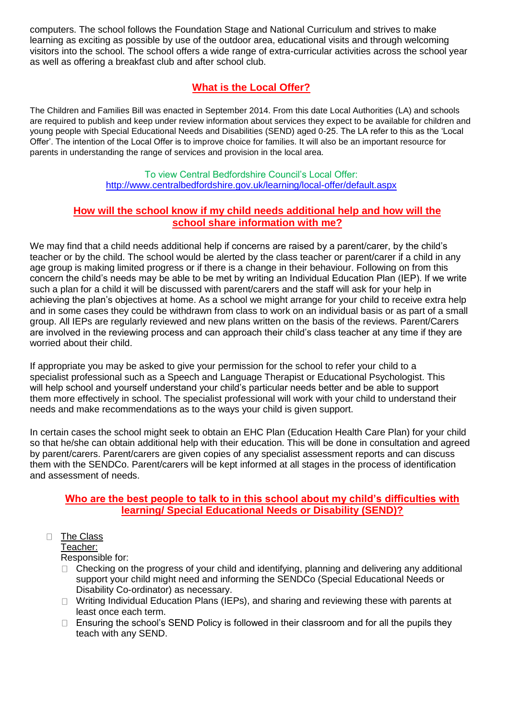computers. The school follows the Foundation Stage and National Curriculum and strives to make learning as exciting as possible by use of the outdoor area, educational visits and through welcoming visitors into the school. The school offers a wide range of extra-curricular activities across the school year as well as offering a breakfast club and after school club.

# **What is the Local Offer?**

The Children and Families Bill was enacted in September 2014. From this date Local Authorities (LA) and schools are required to publish and keep under review information about services they expect to be available for children and young people with Special Educational Needs and Disabilities (SEND) aged 0-25. The LA refer to this as the 'Local Offer'. The intention of the Local Offer is to improve choice for families. It will also be an important resource for parents in understanding the range of services and provision in the local area.

> To view Central Bedfordshire Council's Local Offer: <http://www.centralbedfordshire.gov.uk/learning/local-offer/default.aspx>

## **How will the school know if my child needs additional help and how will the school share information with me?**

We may find that a child needs additional help if concerns are raised by a parent/carer, by the child's teacher or by the child. The school would be alerted by the class teacher or parent/carer if a child in any age group is making limited progress or if there is a change in their behaviour. Following on from this concern the child's needs may be able to be met by writing an Individual Education Plan (IEP). If we write such a plan for a child it will be discussed with parent/carers and the staff will ask for your help in achieving the plan's objectives at home. As a school we might arrange for your child to receive extra help and in some cases they could be withdrawn from class to work on an individual basis or as part of a small group. All IEPs are regularly reviewed and new plans written on the basis of the reviews. Parent/Carers are involved in the reviewing process and can approach their child's class teacher at any time if they are worried about their child.

If appropriate you may be asked to give your permission for the school to refer your child to a specialist professional such as a Speech and Language Therapist or Educational Psychologist. This will help school and yourself understand your child's particular needs better and be able to support them more effectively in school. The specialist professional will work with your child to understand their needs and make recommendations as to the ways your child is given support.

In certain cases the school might seek to obtain an EHC Plan (Education Health Care Plan) for your child so that he/she can obtain additional help with their education. This will be done in consultation and agreed by parent/carers. Parent/carers are given copies of any specialist assessment reports and can discuss them with the SENDCo. Parent/carers will be kept informed at all stages in the process of identification and assessment of needs.

## **Who are the best people to talk to in this school about my child's difficulties with learning/ Special Educational Needs or Disability (SEND)?**

#### The Class  $\Box$

Teacher: Responsible for:

- $\Box$  Checking on the progress of your child and identifying, planning and delivering any additional support your child might need and informing the SENDCo (Special Educational Needs or Disability Co-ordinator) as necessary.
- □ Writing Individual Education Plans (IEPs), and sharing and reviewing these with parents at least once each term.
- $\Box$  Ensuring the school's SEND Policy is followed in their classroom and for all the pupils they teach with any SEND.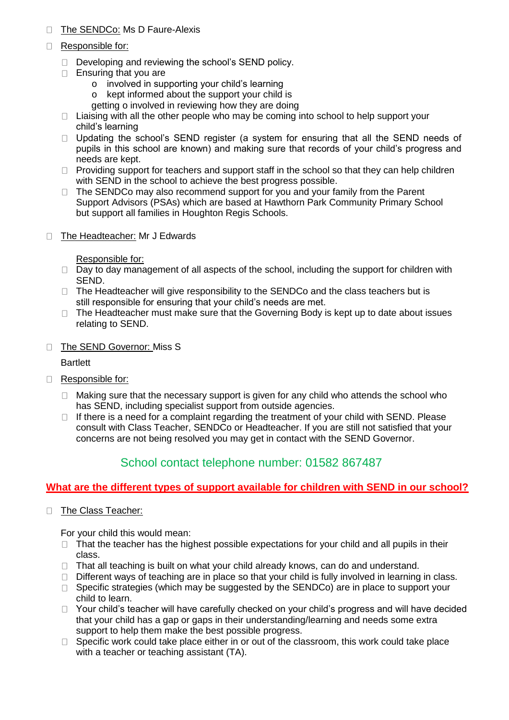#### The SENDCo: Ms D Faure-Alexis  $\Box$

- Responsible for:
	- $\Box$  Developing and reviewing the school's SEND policy.
	- $\Box$  Ensuring that you are
		- o involved in supporting your child's learning
		- o kept informed about the support your child is
		- getting o involved in reviewing how they are doing
	- $\Box$  Liaising with all the other people who may be coming into school to help support your child's learning
	- $\Box$  Updating the school's SEND register (a system for ensuring that all the SEND needs of pupils in this school are known) and making sure that records of your child's progress and needs are kept.
	- $\Box$  Providing support for teachers and support staff in the school so that they can help children with SEND in the school to achieve the best progress possible.
	- $\Box$  The SENDCo may also recommend support for you and your family from the Parent Support Advisors (PSAs) which are based at Hawthorn Park Community Primary School but support all families in Houghton Regis Schools.
- □ The Headteacher: Mr J Edwards

Responsible for:

- $\Box$  Day to day management of all aspects of the school, including the support for children with SEND.
- $\Box$  The Headteacher will give responsibility to the SENDCo and the class teachers but is still responsible for ensuring that your child's needs are met.
- $\Box$  The Headteacher must make sure that the Governing Body is kept up to date about issues relating to SEND.
- □ The SEND Governor: Miss S

**Bartlett** 

- Responsible for:
	- $\Box$  Making sure that the necessary support is given for any child who attends the school who has SEND, including specialist support from outside agencies.
	- $\Box$  If there is a need for a complaint regarding the treatment of your child with SEND. Please consult with Class Teacher, SENDCo or Headteacher. If you are still not satisfied that your concerns are not being resolved you may get in contact with the SEND Governor.

## School contact telephone number: 01582 867487

## **What are the different types of support available for children with SEND in our school?**

The Class Teacher:

For your child this would mean:

- $\Box$  That the teacher has the highest possible expectations for your child and all pupils in their class.
- $\Box$  That all teaching is built on what your child already knows, can do and understand.
- $\Box$  Different ways of teaching are in place so that your child is fully involved in learning in class.
- $\Box$  Specific strategies (which may be suggested by the SENDCo) are in place to support your child to learn.
- $\Box$  Your child's teacher will have carefully checked on your child's progress and will have decided that your child has a gap or gaps in their understanding/learning and needs some extra support to help them make the best possible progress.
- $\Box$  Specific work could take place either in or out of the classroom, this work could take place with a teacher or teaching assistant (TA).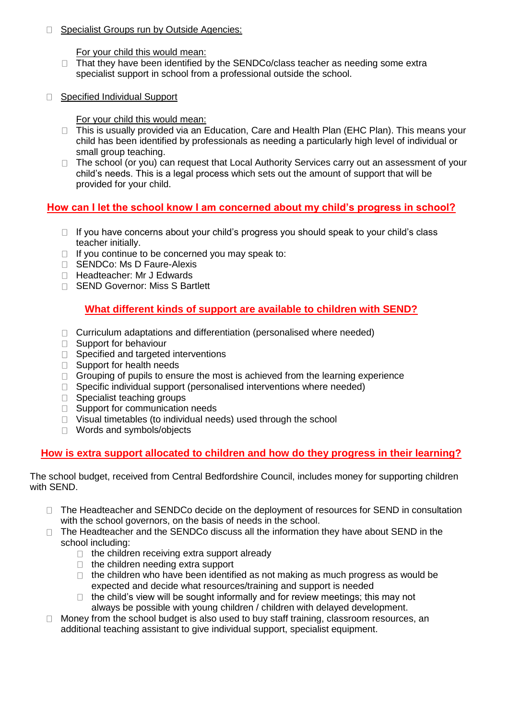□ Specialist Groups run by Outside Agencies:

For your child this would mean:

- $\Box$  That they have been identified by the SENDCo/class teacher as needing some extra specialist support in school from a professional outside the school.
- □ Specified Individual Support

For your child this would mean:

- □ This is usually provided via an Education, Care and Health Plan (EHC Plan). This means your child has been identified by professionals as needing a particularly high level of individual or small group teaching.
- □ The school (or you) can request that Local Authority Services carry out an assessment of your child's needs. This is a legal process which sets out the amount of support that will be provided for your child.

## **How can I let the school know I am concerned about my child's progress in school?**

- $\Box$  If you have concerns about your child's progress you should speak to your child's class teacher initially.
- $\Box$  If you continue to be concerned you may speak to:
- □ SENDCo: Ms D Faure-Alexis
- □ Headteacher: Mr J Edwards
- □ SEND Governor: Miss S Bartlett

## **What different kinds of support are available to children with SEND?**

- $\Box$  Curriculum adaptations and differentiation (personalised where needed)
- □ Support for behaviour
- □ Specified and targeted interventions
- □ Support for health needs
- $\Box$  Grouping of pupils to ensure the most is achieved from the learning experience
- $\Box$  Specific individual support (personalised interventions where needed)
- □ Specialist teaching groups
- □ Support for communication needs
- $\Box$  Visual timetables (to individual needs) used through the school
- □ Words and symbols/objects

## **How is extra support allocated to children and how do they progress in their learning?**

The school budget, received from Central Bedfordshire Council, includes money for supporting children with SEND.

- □ The Headteacher and SENDCo decide on the deployment of resources for SEND in consultation with the school governors, on the basis of needs in the school.
- $\Box$  The Headteacher and the SENDCo discuss all the information they have about SEND in the school including:
	- $\Box$  the children receiving extra support already
	- $\Box$  the children needing extra support
	- $\Box$  the children who have been identified as not making as much progress as would be expected and decide what resources/training and support is needed
	- $\Box$  the child's view will be sought informally and for review meetings; this may not always be possible with young children / children with delayed development.
- □ Money from the school budget is also used to buy staff training, classroom resources, an additional teaching assistant to give individual support, specialist equipment.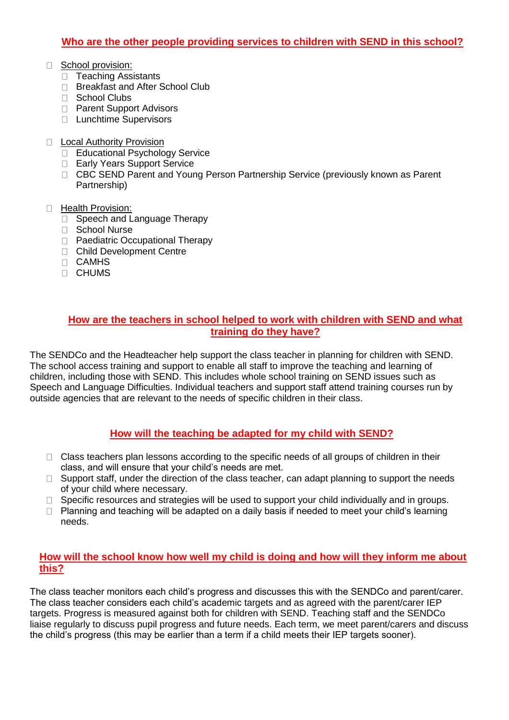## **Who are the other people providing services to children with SEND in this school?**

- School provision:
	- D Teaching Assistants
	- □ Breakfast and After School Club
	- □ School Clubs
	- □ Parent Support Advisors
	- □ Lunchtime Supervisors
- D Local Authority Provision
	- □ Educational Psychology Service
	- □ Early Years Support Service
	- CBC SEND Parent and Young Person Partnership Service (previously known as Parent Partnership)
- **Health Provision:** 
	- □ Speech and Language Therapy
	- □ School Nurse
	- □ Paediatric Occupational Therapy
	- Child Development Centre
	- CAMHS
	- CHUMS

#### **How are the teachers in school helped to work with children with SEND and what training do they have?**

The SENDCo and the Headteacher help support the class teacher in planning for children with SEND. The school access training and support to enable all staff to improve the teaching and learning of children, including those with SEND. This includes whole school training on SEND issues such as Speech and Language Difficulties. Individual teachers and support staff attend training courses run by outside agencies that are relevant to the needs of specific children in their class.

## **How will the teaching be adapted for my child with SEND?**

- $\Box$  Class teachers plan lessons according to the specific needs of all groups of children in their class, and will ensure that your child's needs are met.
- $\Box$  Support staff, under the direction of the class teacher, can adapt planning to support the needs of your child where necessary.
- $\Box$  Specific resources and strategies will be used to support your child individually and in groups.
- $\Box$  Planning and teaching will be adapted on a daily basis if needed to meet your child's learning needs.

## **How will the school know how well my child is doing and how will they inform me about this?**

The class teacher monitors each child's progress and discusses this with the SENDCo and parent/carer. The class teacher considers each child's academic targets and as agreed with the parent/carer IEP targets. Progress is measured against both for children with SEND. Teaching staff and the SENDCo liaise regularly to discuss pupil progress and future needs. Each term, we meet parent/carers and discuss the child's progress (this may be earlier than a term if a child meets their IEP targets sooner).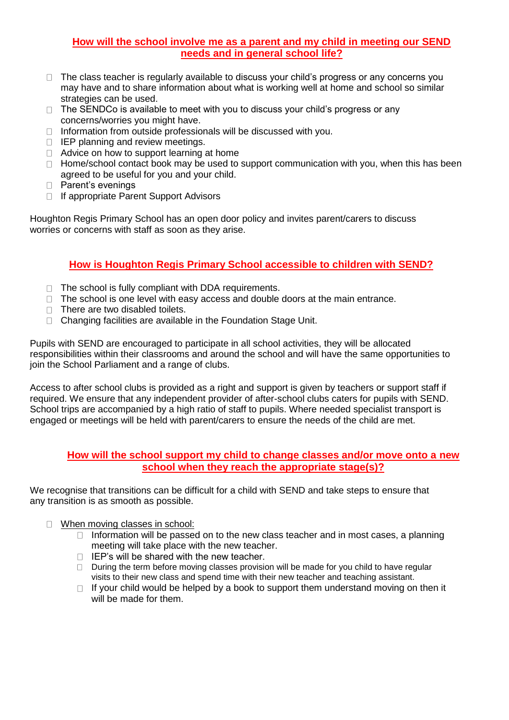### **How will the school involve me as a parent and my child in meeting our SEND needs and in general school life?**

- $\Box$  The class teacher is regularly available to discuss your child's progress or any concerns you may have and to share information about what is working well at home and school so similar strategies can be used.
- $\Box$  The SENDCo is available to meet with you to discuss your child's progress or any concerns/worries you might have.
- $\Box$  Information from outside professionals will be discussed with you.
- $\Box$  IEP planning and review meetings.
- $\Box$  Advice on how to support learning at home
- $\Box$  Home/school contact book may be used to support communication with you, when this has been agreed to be useful for you and your child.
- $\Box$  Parent's evenings
- $\Box$  If appropriate Parent Support Advisors

Houghton Regis Primary School has an open door policy and invites parent/carers to discuss worries or concerns with staff as soon as they arise.

## **How is Houghton Regis Primary School accessible to children with SEND?**

- $\Box$  The school is fully compliant with DDA requirements.
- $\Box$  The school is one level with easy access and double doors at the main entrance.
- $\Box$  There are two disabled toilets.
- □ Changing facilities are available in the Foundation Stage Unit.

Pupils with SEND are encouraged to participate in all school activities, they will be allocated responsibilities within their classrooms and around the school and will have the same opportunities to join the School Parliament and a range of clubs.

Access to after school clubs is provided as a right and support is given by teachers or support staff if required. We ensure that any independent provider of after-school clubs caters for pupils with SEND. School trips are accompanied by a high ratio of staff to pupils. Where needed specialist transport is engaged or meetings will be held with parent/carers to ensure the needs of the child are met.

#### **How will the school support my child to change classes and/or move onto a new school when they reach the appropriate stage(s)?**

We recognise that transitions can be difficult for a child with SEND and take steps to ensure that any transition is as smooth as possible.

- □ When moving classes in school:
	- $\Box$  Information will be passed on to the new class teacher and in most cases, a planning meeting will take place with the new teacher.
	- $\Box$  IEP's will be shared with the new teacher.
	- $\Box$  During the term before moving classes provision will be made for you child to have regular visits to their new class and spend time with their new teacher and teaching assistant.
	- $\Box$  If your child would be helped by a book to support them understand moving on then it will be made for them.